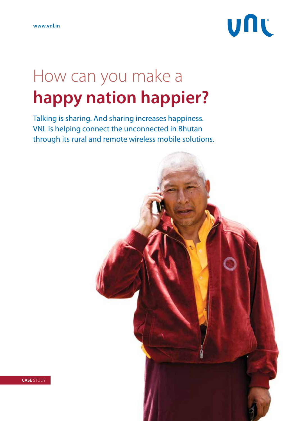

## How can you make a **happy nation happier?**

Talking is sharing. And sharing increases happiness. VNL is helping connect the unconnected in Bhutan through its rural and remote wireless mobile solutions.



**CASE** STUDY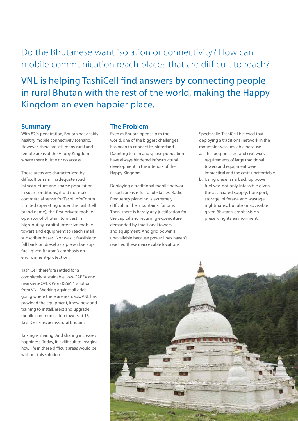### Do the Bhutanese want isolation or connectivity? How can mobile communication reach places that are difficult to reach?

VNL is helping TashiCell find answers by connecting people in rural Bhutan with the rest of the world, making the Happy Kingdom an even happier place.

#### **Summary**

With 87% penetration, Bhutan has a fairly healthy mobile connectivity scenario. However, there are still many rural and remote areas of the Happy Kingdom where there is little or no access.

These areas are characterized by difficult terrain, inadequate road infrastructure and sparse population. In such conditions, it did not make commercial sense for Tashi InfoComm Limited (operating under the TashiCell brand name), the first private mobile operator of Bhutan, to invest in high-outlay, capital-intensive mobile towers and equipment to reach small subscriber bases. Nor was it feasible to fall back on diesel as a power backup fuel, given Bhutan's emphasis on environment-protection.

TashiCell therefore settled for a completely sustainable, low-CAPEX and near-zero-OPEX WorldGSM™ solution from VNL. Working against all odds, going where there are no roads, VNL has provided the equipment, know how and training to install, erect and upgrade mobile communication towers at 13 TashiCell sites across rural Bhutan.

Talking is sharing. And sharing increases happiness. Today, it is difficult to imagine how life in these difficult areas would be without this solution.

### **The Problem**

Even as Bhutan opens up to the world, one of the biggest challenges has been to connect its hinterland. Daunting terrain and sparse population have always hindered infrastructural development in the interiors of the Happy Kingdom.

Deploying a traditional mobile network in such areas is full of obstacles. Radio Frequency planning is extremely difficult in the mountains, for one. Then, there is hardly any justification for the capital and recurring expenditure demanded by traditional towers and equipment. And grid power is unavailable because power lines haven't reached these inaccessible locations.

Specifically, TashiCell believed that deploying a traditional network in the mountains was unviable because

- a. The footprint, size, and civil-works requirements of large traditional towers and equipment were impractical and the costs unaffordable.
- b. Using diesel as a back up power fuel was not only infeasible given the associated supply, transport, storage, pilferage and wastage nightmares, but also inadvisable given Bhutan's emphasis on preserving its environment.

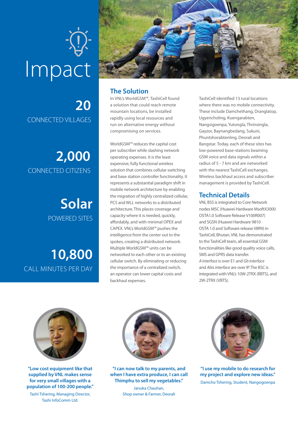# Impact

**20** CONNECTED VILLAGES

**2,000** CONNECTED CITIZENS

> **Solar** POWERED SITES

**10,800** call Minutes per day



### **The Solution**

In VNL's WorldGSM™, TashiCell found a solution that could reach remote mountain locations, be installed rapidly using local resources and run on alternative energy without compromising on services.

WorldGSM™ reduces the capital cost per subscriber while slashing network operating expenses. It is the least expensive, fully functional wireless solution that combines cellular switching and base station controller functionality. It represents a substantial paradigm shift in mobile network architecture by enabling the migration of highly centralized cellular, PCS and WLL networks to a distributed architecture. This places coverage and capacity where it is needed, quickly, affordably, and with minimal OPEX and CAPEX. VNL's WorldGSM™ pushes the intelligence from the center out to the spokes, creating a distributed network. Multiple WorldGSM™ units can be networked to each other or to an existing cellular switch. By eliminating or reducing the importance of a centralized switch, an operator can lower capital costs and backhaul expenses.

TashiCell identified 13 rural locations where there was no mobile connectivity. These include Damchethang, Dranglatop, Ugyencholing, Kuengarabten, Nangsigoenpa, Yutongla, Thrinsingla, Gayzor, Baynangbedang, Sukuni, Phuntshorabtenling, Deorali and Bangstar. Today, each of these sites has low-powered base-stations beaming GSM voice and data signals within a radius of 5 - 7 km and are networked with the nearest TashiCell exchanges. Wireless backhaul access and subscriber management is provided by TashiCell.

### **Technical Details**

VNL BSS is integrated to Core Network nodes MSC (Huawei Hardware MsoftX3000 OSTA1.0 Software Release V100R007) and SGSN (Huawei Hardware 9810 OSTA 1.0 and Software release V8R9) in TashiCell, Bhutan. VNL has demonstrated to the TashiCell team, all essential GSM functionalities like good quality voice calls, SMS and GPRS data transfer. *A interface* is over E1 and *Gb interface* and *Abisinterface* are over IP. The BSC is integrated with VNL's 10W-2TRX (RBTS), and 2W-2TRX (VBTS).



**"Low cost equipment like that supplied by VNL makes sense for very small villages with a population of 100-200 people."**

Tashi Tshering, Managing Director, Tashi InfoComm Ltd.



**"I can now talk to my parents, and when I have extra produce, I can call Thimphu to sell my vegetables."**

> Januka Chauhan, Shop owner & Farmer, Deorali



**"I use my mobile to do research for my project and explore new ideas."** Damcho Tshering, Student, Nangsigoenpa